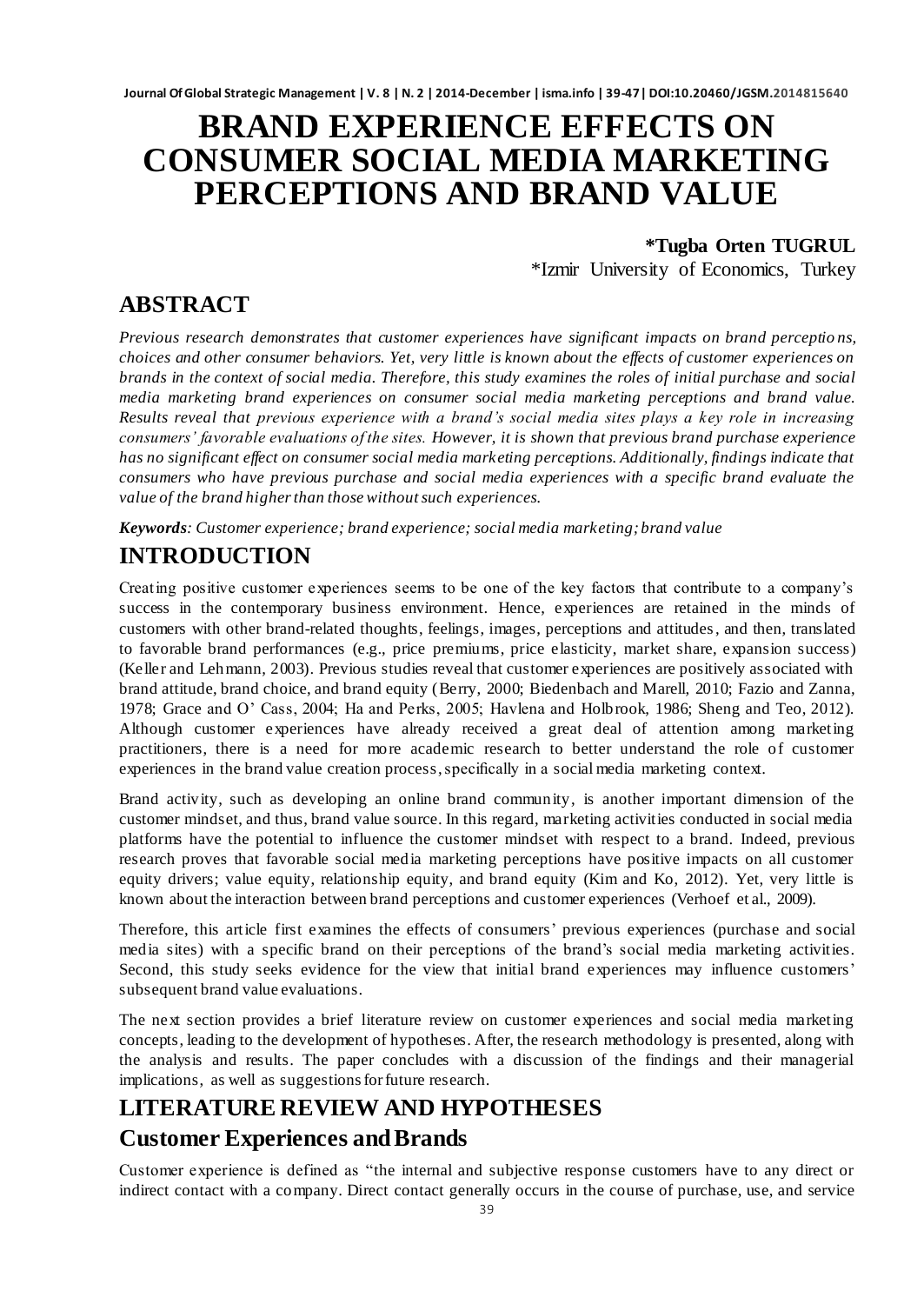# **BRAND EXPERIENCE EFFECTS ON CONSUMER SOCIAL MEDIA MARKETING PERCEPTIONS AND BRAND VALUE**

**\*Tugba Orten TUGRUL** \*Izmir University of Economics, Turkey

# **ABSTRACT**

*Previous research demonstrates that customer experiences have significant impacts on brand perceptio ns, choices and other consumer behaviors. Yet, very little is known about the effects of customer experiences on brands in the context of social media. Therefore, this study examines the roles of initial purchase and social media marketing brand experiences on consumer social media marketing perceptions and brand value. Results reveal that previous experience with a brand's social media sites plays a key role in increasing consumers' favorable evaluations of the sites. However, it is shown that previous brand purchase experience has no significant effect on consumer social media marketing perceptions. Additionally, findings indicate that consumers who have previous purchase and social media experiences with a specific brand evaluate the value of the brand higher than those without such experiences.*

*Keywords: Customer experience; brand experience; social media marketing; brand value*

# **INTRODUCTION**

Creating positive customer experiences seems to be one of the key factors that contribute to a company"s success in the contemporary business environment. Hence, experiences are retained in the minds of customers with other brand-related thoughts, feelings, images, perceptions and attitudes, and then, translated to favorable brand performances (e.g., price premiums, price elasticity, market share, expansion success) (Keller and Lehmann, 2003). Previous studies reveal that customer experiences are positively associated with brand attitude, brand choice, and brand equity (Berry, 2000; Biedenbach and Marell, 2010; Fazio and Zanna, 1978; Grace and O" Cass, 2004; Ha and Perks, 2005; Havlena and Holbrook, 1986; Sheng and Teo, 2012). Although customer experiences have already received a great deal of attention among marketing practitioners, there is a need for more academic research to better understand the role of customer experiences in the brand value creation process, specifically in a social media marketing context.

Brand activity, such as developing an online brand community, is another important dimension of the customer mindset, and thus, brand value source. In this regard, marketing activities conducted in social media platforms have the potential to influence the customer mindset with respect to a brand. Indeed, previous research proves that favorable social media marketing perceptions have positive impacts on all customer equity drivers; value equity, relationship equity, and brand equity (Kim and Ko, 2012). Yet, very little is known about the interaction between brand perceptions and customer experiences (Verhoef et al., 2009).

Therefore, this article first examines the effects of consumers" previous experiences (purchase and social media sites) with a specific brand on their perceptions of the brand"s social media marketing activities. Second, this study seeks evidence for the view that initial brand experiences may influence customers' subsequent brand value evaluations.

The next section provides a brief literature review on customer experiences and social media marketing concepts, leading to the development of hypotheses. After, the research methodology is presented, along with the analysis and results. The paper concludes with a discussion of the findings and their managerial implications, as well as suggestions for future research.

# **LITERATURE REVIEW AND HYPOTHESES Customer Experiences and Brands**

Customer experience is defined as "the internal and subjective response customers have to any direct or indirect contact with a company. Direct contact generally occurs in the course of purchase, use, and service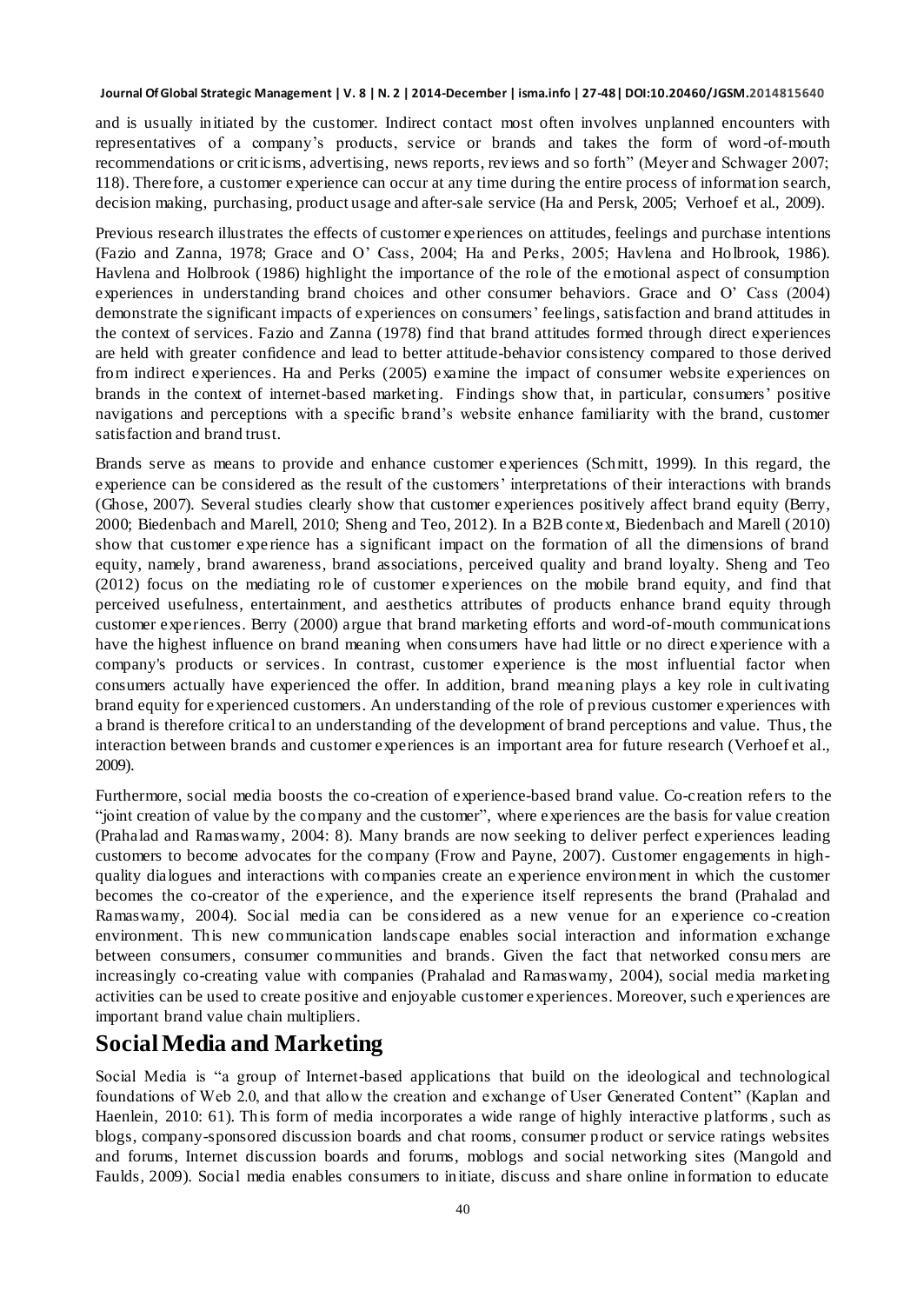and is usually initiated by the customer. Indirect contact most often involves unplanned encounters with representatives of a company"s products, service or brands and takes the form of word-of-mouth recommendations or criticisms, advertising, news reports, reviews and so forth" (Meyer and Schwager 2007; 118). Therefore, a customer experience can occur at any time during the entire process of information search, decision making, purchasing, product usage and after-sale service (Ha and Persk, 2005; Verhoef et al., 2009).

Previous research illustrates the effects of customer experiences on attitudes, feelings and purchase intentions (Fazio and Zanna, 1978; Grace and O" Cass, 2004; Ha and Perks, 2005; Havlena and Holbrook, 1986). Havlena and Holbrook (1986) highlight the importance of the role of the emotional aspect of consumption experiences in understanding brand choices and other consumer behaviors. Grace and O" Cass (2004) demonstrate the significant impacts of experiences on consumers' feelings, satisfaction and brand attitudes in the context of services. Fazio and Zanna (1978) find that brand attitudes formed through direct experiences are held with greater confidence and lead to better attitude-behavior consistency compared to those derived from indirect experiences. Ha and Perks (2005) examine the impact of consumer website experiences on brands in the context of internet-based marketing. Findings show that, in particular, consumers" positive navigations and perceptions with a specific brand"s website enhance familiarity with the brand, customer satisfaction and brand trust.

Brands serve as means to provide and enhance customer experiences (Schmitt, 1999). In this regard, the experience can be considered as the result of the customers' interpretations of their interactions with brands (Ghose, 2007). Several studies clearly show that customer experiences positively affect brand equity (Berry, 2000; Biedenbach and Marell, 2010; Sheng and Teo, 2012). In a B2B context, Biedenbach and Marell (2010) show that customer expe rience has a significant impact on the formation of all the dimensions of brand equity, namely , brand awareness, brand associations, perceived quality and brand loyalty. Sheng and Teo (2012) focus on the mediating role of customer experiences on the mobile brand equity, and find that perceived usefulness, entertainment, and aesthetics attributes of products enhance brand equity through customer experiences. Berry (2000) argue that brand marketing efforts and word-of-mouth communications have the highest influence on brand meaning when consumers have had little or no direct experience with a company's products or services. In contrast, customer experience is the most influential factor when consumers actually have experienced the offer. In addition, brand meaning plays a key role in cultivating brand equity for experienced customers. An understanding of the role of previous customer experiences with a brand is therefore critical to an understanding of the development of brand perceptions and value. Thus, the interaction between brands and customer experiences is an important area for future research (Verhoef et al., 2009).

Furthermore, social media boosts the co-creation of experience-based brand value. Co-creation refers to the "joint creation of value by the company and the customer", where experiences are the basis for value creation (Prahalad and Ramaswamy, 2004: 8). Many brands are now seeking to deliver perfect experiences leading customers to become advocates for the company (Frow and Payne, 2007). Customer engagements in highquality dialogues and interactions with companies create an experience environment in which the customer becomes the co-creator of the experience, and the experience itself represents the brand (Prahalad and Ramaswamy, 2004). Social media can be considered as a new venue for an experience co -creation environment. This new communication landscape enables social interaction and information exchange between consumers, consumer communities and brands. Given the fact that networked consu mers are increasingly co-creating value with companies (Prahalad and Ramaswamy, 2004), social media marketing activities can be used to create positive and enjoyable customer experiences. Moreover, such experiences are important brand value chain multipliers.

### **Social Media and Marketing**

Social Media is "a group of Internet-based applications that build on the ideological and technological foundations of Web 2.0, and that allow the creation and exchange of User Generated Content" (Kaplan and Haenlein, 2010: 61). This form of media incorporates a wide range of highly interactive platforms, such as blogs, company-sponsored discussion boards and chat rooms, consumer product or service ratings websites and forums, Internet discussion boards and forums, moblogs and social networking sites (Mangold and Faulds, 2009). Social media enables consumers to initiate, discuss and share online information to educate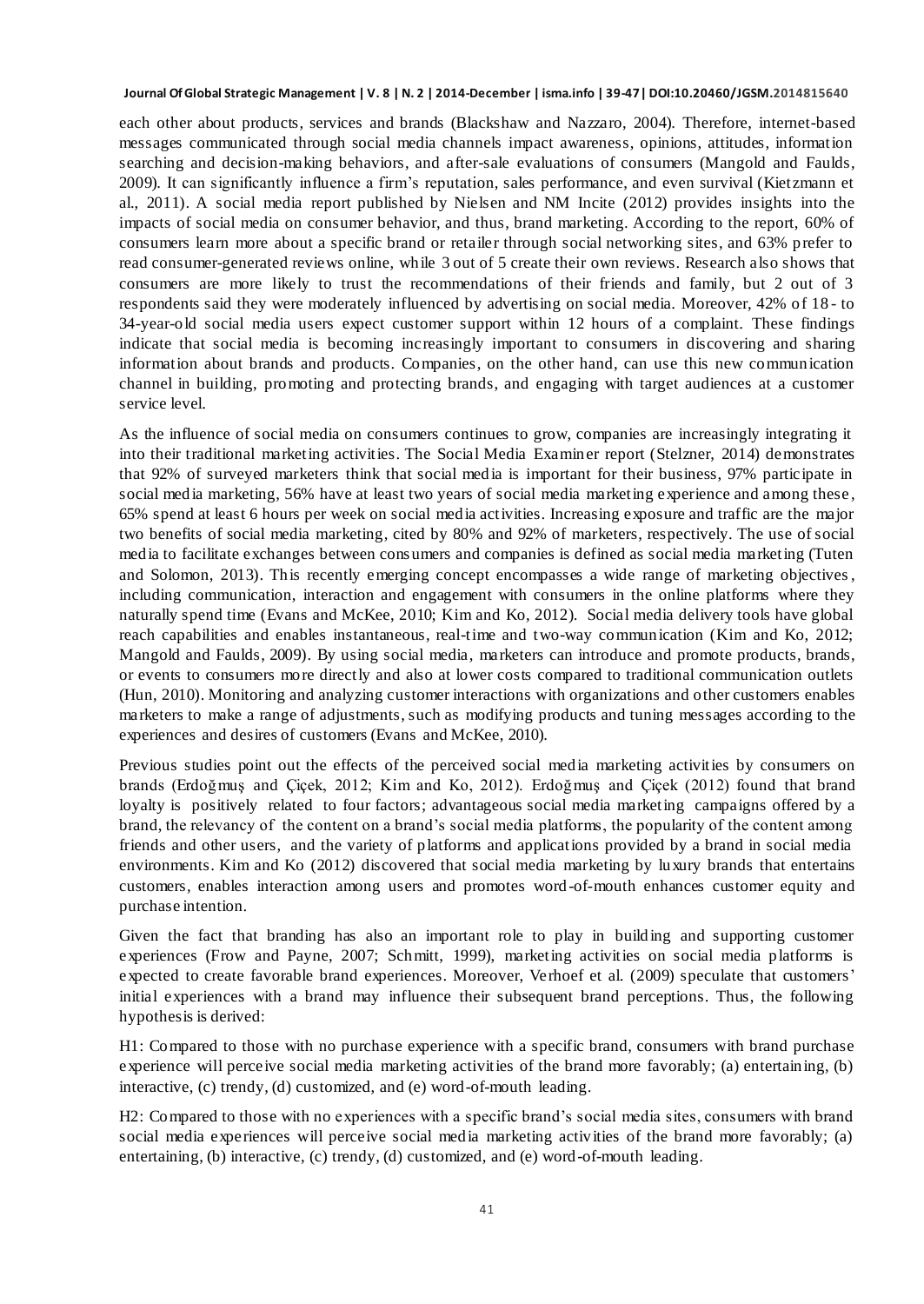each other about products, services and brands (Blackshaw and Nazzaro, 2004). Therefore, internet-based messages communicated through social media channels impact awareness, opinions, attitudes, information searching and decision-making behaviors, and after-sale evaluations of consumers (Mangold and Faulds, 2009). It can significantly influence a firm"s reputation, sales performance, and even survival (Kietzmann et al., 2011). A social media report published by Nielsen and NM Incite (2012) provides insights into the impacts of social media on consumer behavior, and thus, brand marketing. According to the report, 60% of consumers learn more about a specific brand or retailer through social networking sites, and 63% prefer to read consumer-generated reviews online, while 3 out of 5 create their own reviews. Research also shows that consumers are more likely to trust the recommendations of their friends and family, but 2 out of 3 respondents said they were moderately influenced by advertising on social media. Moreover, 42% of 18 - to 34-year-old social media users expect customer support within 12 hours of a complaint. These findings indicate that social media is becoming increasingly important to consumers in discovering and sharing information about brands and products. Companies, on the other hand, can use this new communication channel in building, promoting and protecting brands, and engaging with target audiences at a customer service level.

As the influence of social media on consumers continues to grow, companies are increasingly integrating it into their traditional marketing activities. The Social Media Examiner report (Stelzner, 2014) demonstrates that 92% of surveyed marketers think that social media is important for their business, 97% participate in social media marketing, 56% have at least two years of social media marketing experience and among these , 65% spend at least 6 hours per week on social media activities. Increasing exposure and traffic are the major two benefits of social media marketing, cited by 80% and 92% of marketers, respectively. The use of social media to facilitate exchanges between consumers and companies is defined as social media marketing (Tuten and Solomon, 2013). This recently emerging concept encompasses a wide range of marketing objectives, including communication, interaction and engagement with consumers in the online platforms where they naturally spend time (Evans and McKee, 2010; Kim and Ko, 2012). Social media delivery tools have global reach capabilities and enables instantaneous, real-time and two-way communication (Kim and Ko, 2012; Mangold and Faulds, 2009). By using social media, marketers can introduce and promote products, brands, or events to consumers more directly and also at lower costs compared to traditional communication outlets (Hun, 2010). Monitoring and analyzing customer interactions with organizations and other customers enables marketers to make a range of adjustments, such as modifying products and tuning messages according to the experiences and desires of customers (Evans and McKee, 2010).

Previous studies point out the effects of the perceived social media marketing activities by consumers on brands (Erdoğmuş and Çiçek, 2012; Kim and Ko, 2012). Erdoğmuş and Çiçek (2012) found that brand loyalty is positively related to four factors; advantageous social media marketing campaigns offered by a brand, the relevancy of the content on a brand"s social media platforms, the popularity of the content among friends and other users, and the variety of platforms and applications provided by a brand in social media environments. Kim and Ko (2012) discovered that social media marketing by luxury brands that entertains customers, enables interaction among users and promotes word-of-mouth enhances customer equity and purchase intention.

Given the fact that branding has also an important role to play in building and supporting customer experiences (Frow and Payne, 2007; Schmitt, 1999), marketing activities on social media platforms is expected to create favorable brand experiences. Moreover, Verhoef et al. (2009) speculate that customers' initial experiences with a brand may influence their subsequent brand perceptions. Thus, the following hypothesis is derived:

H1: Compared to those with no purchase experience with a specific brand, consumers with brand purchase experience will perceive social media marketing activities of the brand more favorably; (a) entertaining, (b) interactive, (c) trendy, (d) customized, and (e) word-of-mouth leading.

H2: Compared to those with no experiences with a specific brand"s social media sites, consumers with brand social media experiences will perceive social media marketing activities of the brand more favorably; (a) entertaining, (b) interactive, (c) trendy, (d) customized, and (e) word-of-mouth leading.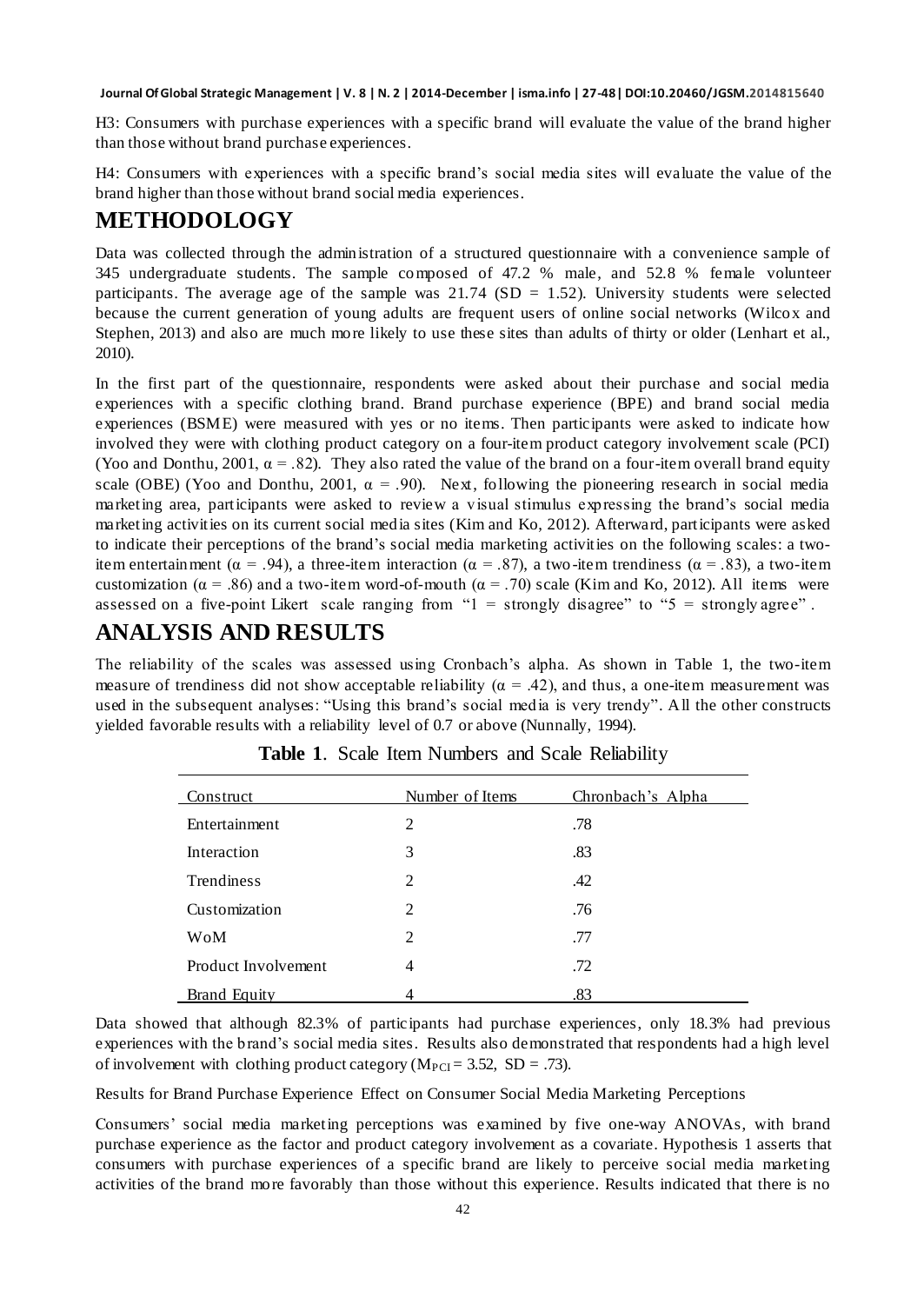H3: Consumers with purchase experiences with a specific brand will evaluate the value of the brand higher than those without brand purchase experiences.

H4: Consumers with experiences with a specific brand"s social media sites will evaluate the value of the brand higher than those without brand social media experiences.

### **METHODOLOGY**

Data was collected through the administration of a structured questionnaire with a convenience sample of 345 undergraduate students. The sample composed of 47.2 % male, and 52.8 % female volunteer participants. The average age of the sample was  $21.74$  (SD = 1.52). University students were selected because the current generation of young adults are frequent users of online social networks (Wilcox and Stephen, 2013) and also are much more likely to use these sites than adults of thirty or older (Lenhart et al., 2010).

In the first part of the questionnaire, respondents were asked about their purchase and social media experiences with a specific clothing brand. Brand purchase experience (BPE) and brand social media experiences (BSME) were measured with yes or no items. Then participants were asked to indicate how involved they were with clothing product category on a four-item product category involvement scale (PCI) (Yoo and Donthu, 2001,  $\alpha = .82$ ). They also rated the value of the brand on a four-item overall brand equity scale (OBE) (Yoo and Donthu, 2001,  $\alpha = .90$ ). Next, following the pioneering research in social media marketing area, participants were asked to review a visual stimulus expressing the brand"s social media marketing activities on its current social media sites (Kim and Ko, 2012). Afterward, participants were asked to indicate their perceptions of the brand"s social media marketing activities on the following scales: a twoitem entertainment ( $\alpha = .94$ ), a three-item interaction ( $\alpha = .87$ ), a two-item trendiness ( $\alpha = .83$ ), a two-item customization ( $\alpha = .86$ ) and a two-item word-of-mouth ( $\alpha = .70$ ) scale (Kim and Ko, 2012). All items were assessed on a five-point Likert scale ranging from " $1 =$  strongly disagree" to " $5 =$  strongly agree".

### **ANALYSIS AND RESULTS**

The reliability of the scales was assessed using Cronbach"s alpha. As shown in Table 1, the two-item measure of trendiness did not show acceptable reliability ( $\alpha$  = .42), and thus, a one-item measurement was used in the subsequent analyses: "Using this brand"s social media is very trendy". All the other constructs yielded favorable results with a reliability level of 0.7 or above (Nunnally, 1994).

| Construct           | Number of Items | Chronbach's Alpha |
|---------------------|-----------------|-------------------|
| Entertainment       | 2               | .78               |
| Interaction         | 3               | .83               |
| Trendiness          | $\mathfrak{D}$  | .42               |
| Customization       | $\overline{c}$  | .76               |
| WoM                 | $\overline{c}$  | .77               |
| Product Involvement | 4               | .72               |
| <b>Brand Equity</b> |                 | .83               |

**Table 1**. Scale Item Numbers and Scale Reliability

Data showed that although 82.3% of participants had purchase experiences, only 18.3% had previous experiences with the brand"s social media sites. Results also demonstrated that respondents had a high level of involvement with clothing product category ( $M_{PCI} = 3.52$ , SD = .73).

Results for Brand Purchase Experience Effect on Consumer Social Media Marketing Perceptions

Consumers" social media marketing perceptions was examined by five one-way ANOVAs, with brand purchase experience as the factor and product category involvement as a covariate. Hypothesis 1 asserts that consumers with purchase experiences of a specific brand are likely to perceive social media marketing activities of the brand more favorably than those without this experience. Results indicated that there is no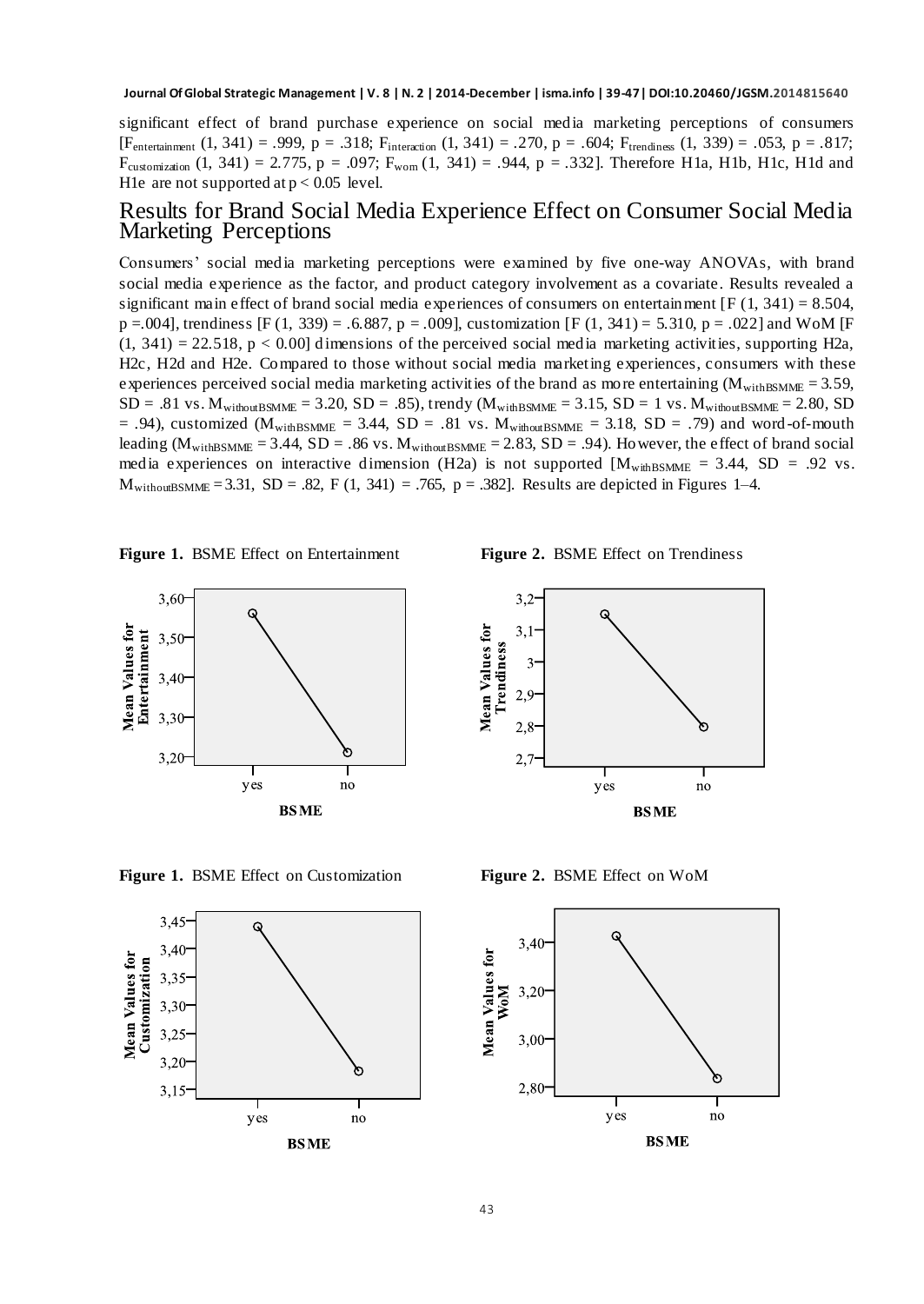significant effect of brand purchase experience on social media marketing perceptions of consumers  $[Fe_{interailment} (1, 341) = .999, p = .318; F_{interailon} (1, 341) = .270, p = .604; F_{treidiness} (1, 339) = .053, p = .817;$ Fcustomization (1, 341) = 2.775, p = .097; F<sub>wom</sub> (1, 341) = .944, p = .332]. Therefore H1a, H1b, H1c, H1d and H<sub>1</sub>e are not supported at  $p < 0.05$  level.

#### Results for Brand Social Media Experience Effect on Consumer Social Media Marketing Perceptions

Consumers" social media marketing perceptions were examined by five one-way ANOVAs, with brand social media experience as the factor, and product category involvement as a covariate. Results revealed a significant main effect of brand social media experiences of consumers on entertainment  $[F(1, 341) = 8.504$ ,  $p = .004$ , trendiness [F (1, 339) = .6.887, p = .009], customization [F (1, 341) = 5.310, p = .022] and WoM [F  $(1, 341) = 22.518$ , p < 0.00] dimensions of the perceived social media marketing activities, supporting H2a, H2c, H2d and H2e. Compared to those without social media marketing experiences, consumers with these experiences perceived social media marketing activities of the brand as more entertaining ( $M_{\text{withBSMME}} = 3.59$ ,  $SD = .81$  vs.  $M_{\text{withoutBSMME}} = 3.20$ ,  $SD = .85$ ), trendy  $(M_{\text{withBSMME}} = 3.15$ ,  $SD = 1$  vs.  $M_{\text{withoutBSMME}} = 2.80$ ,  $SD$  $= .94$ ), customized (M<sub>withBSMME</sub> = 3.44, SD = .81 vs. M<sub>withoutBSMME</sub> = 3.18, SD = .79) and word -of-mouth leading ( $M_{\text{withBSMME}} = 3.44$ , SD = .86 vs.  $M_{\text{withoutBSMME}} = 2.83$ , SD = .94). However, the effect of brand social media experiences on interactive dimension (H2a) is not supported  $[M_{\text{withBSMME}} = 3.44, SD = .92$  vs.  $M_{\text{withoutBSMME}} = 3.31, SD = .82, F (1, 341) = .765, p = .382$ . Results are depicted in Figures 1–4.





**Figure 1.** BSME Effect on Customization **Figure 2.** BSME Effect on WoM





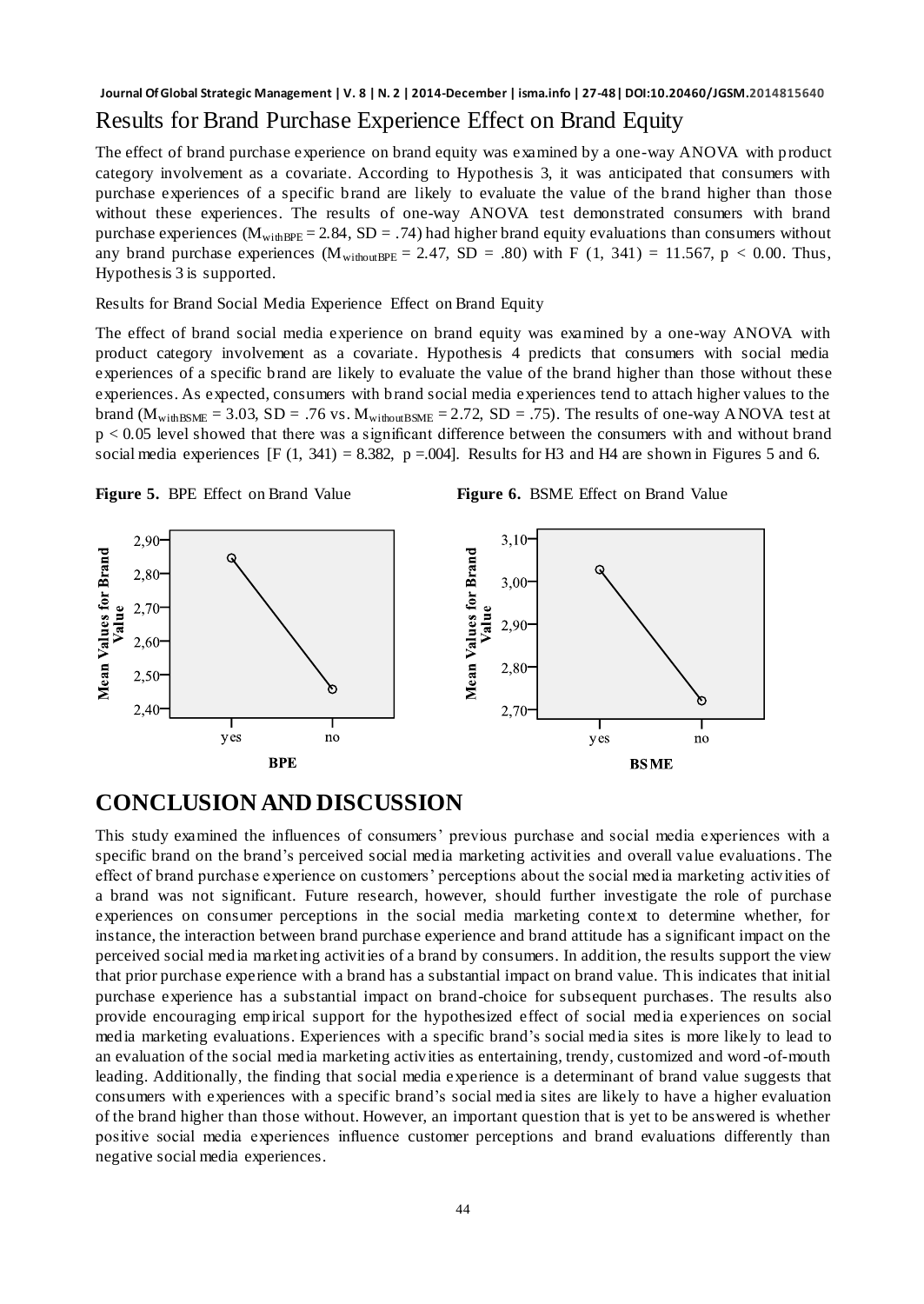### **Journal Of Global Strategic Management | V. 8 | N. 2 | 2014-December | isma.info | 27-48| DOI:10.20460/JGSM.2014815640** Results for Brand Purchase Experience Effect on Brand Equity

The effect of brand purchase experience on brand equity was examined by a one-way ANOVA with product category involvement as a covariate. According to Hypothesis 3, it was anticipated that consumers with purchase experiences of a specific brand are likely to evaluate the value of the brand higher than those without these experiences. The results of one-way ANOVA test demonstrated consumers with brand purchase experiences ( $M_{\text{withBPE}}$  = 2.84, SD = .74) had higher brand equity evaluations than consumers without any brand purchase experiences  $(M_{withoutBPE} = 2.47, SD = .80)$  with F (1, 341) = 11.567, p < 0.00. Thus, Hypothesis 3 is supported.

Results for Brand Social Media Experience Effect on Brand Equity

The effect of brand social media experience on brand equity was examined by a one-way ANOVA with product category involvement as a covariate. Hypothesis 4 predicts that consumers with social media experiences of a specific brand are likely to evaluate the value of the brand higher than those without these experiences. As expected, consumers with brand social media experiences tend to attach higher values to the brand  $(M_{\text{withBSME}} = 3.03, SD = .76$  vs.  $M_{\text{withoutBSME}} = 2.72, SD = .75$ . The results of one-way ANOVA test at p < 0.05 level showed that there was a significant difference between the consumers with and without brand social media experiences  $[F(1, 341) = 8.382, p = .004]$ . Results for H3 and H4 are shown in Figures 5 and 6.





### **CONCLUSION AND DISCUSSION**

This study examined the influences of consumers" previous purchase and social media experiences with a specific brand on the brand"s perceived social media marketing activities and overall value evaluations. The effect of brand purchase experience on customers" perceptions about the social media marketing activities of a brand was not significant. Future research, however, should further investigate the role of purchase experiences on consumer perceptions in the social media marketing context to determine whether, for instance, the interaction between brand purchase experience and brand attitude has a significant impact on the perceived social media marketing activities of a brand by consumers. In addition, the results support the view that prior purchase experience with a brand has a substantial impact on brand value. This indicates that initial purchase experience has a substantial impact on brand-choice for subsequent purchases. The results also provide encouraging empirical support for the hypothesized effect of social media experiences on social media marketing evaluations. Experiences with a specific brand"s social media sites is more likely to lead to an evaluation of the social media marketing activities as entertaining, trendy, customized and word -of-mouth leading. Additionally, the finding that social media experience is a determinant of brand value suggests that consumers with experiences with a specific brand"s social media sites are likely to have a higher evaluation of the brand higher than those without. However, an important question that is yet to be answered is whether positive social media experiences influence customer perceptions and brand evaluations differently than negative social media experiences.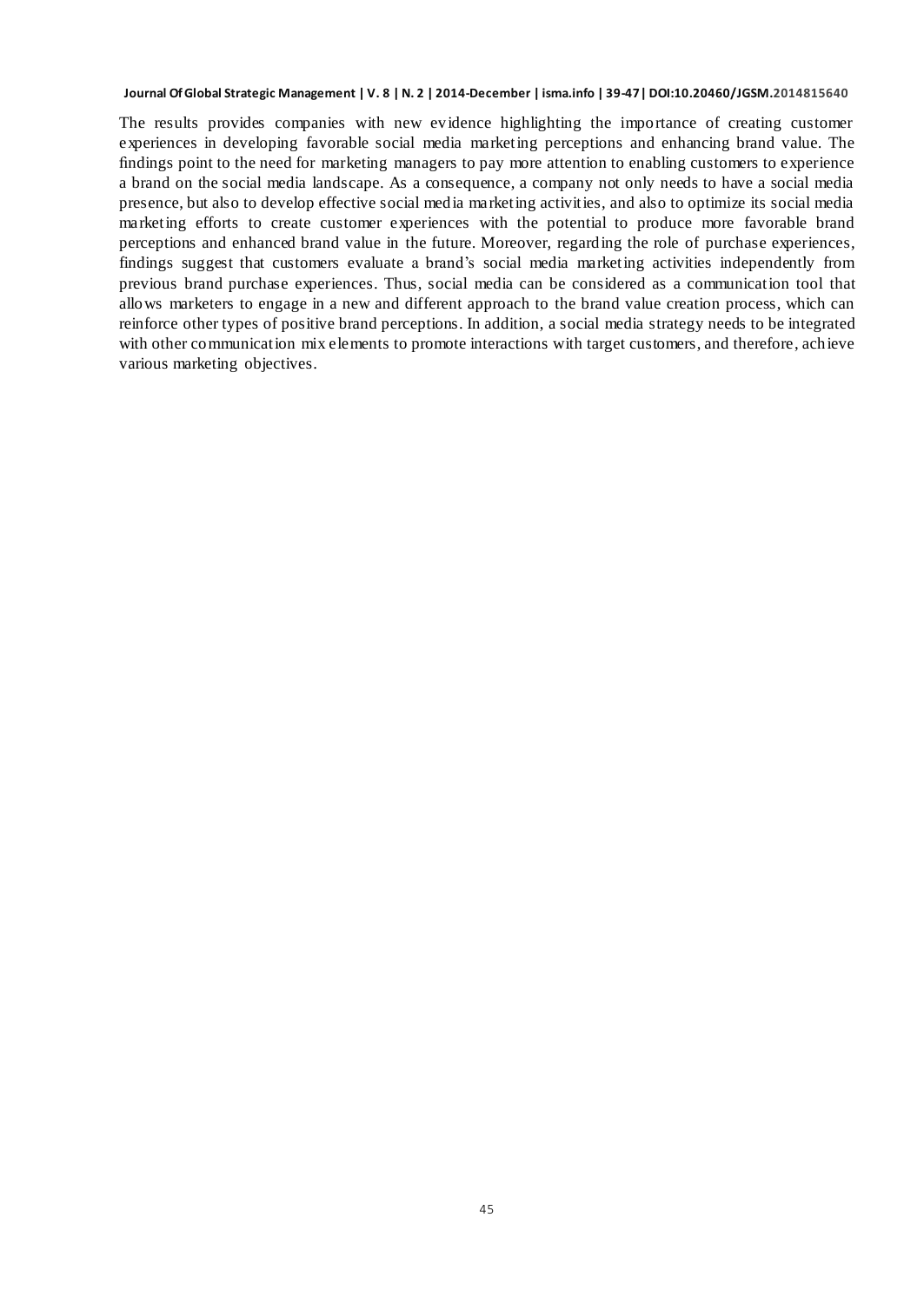The results provides companies with new evidence highlighting the importance of creating customer experiences in developing favorable social media marketing perceptions and enhancing brand value. The findings point to the need for marketing managers to pay more attention to enabling customers to experience a brand on the social media landscape. As a consequence, a company not only needs to have a social media presence, but also to develop effective social media marketing activities, and also to optimize its social media marketing efforts to create customer experiences with the potential to produce more favorable brand perceptions and enhanced brand value in the future. Moreover, regarding the role of purchase experiences, findings suggest that customers evaluate a brand"s social media marketing activities independently from previous brand purchase experiences. Thus, social media can be considered as a communication tool that allows marketers to engage in a new and different approach to the brand value creation process, which can reinforce other types of positive brand perceptions. In addition, a social media strategy needs to be integrated with other communication mix elements to promote interactions with target customers, and therefore, achieve various marketing objectives.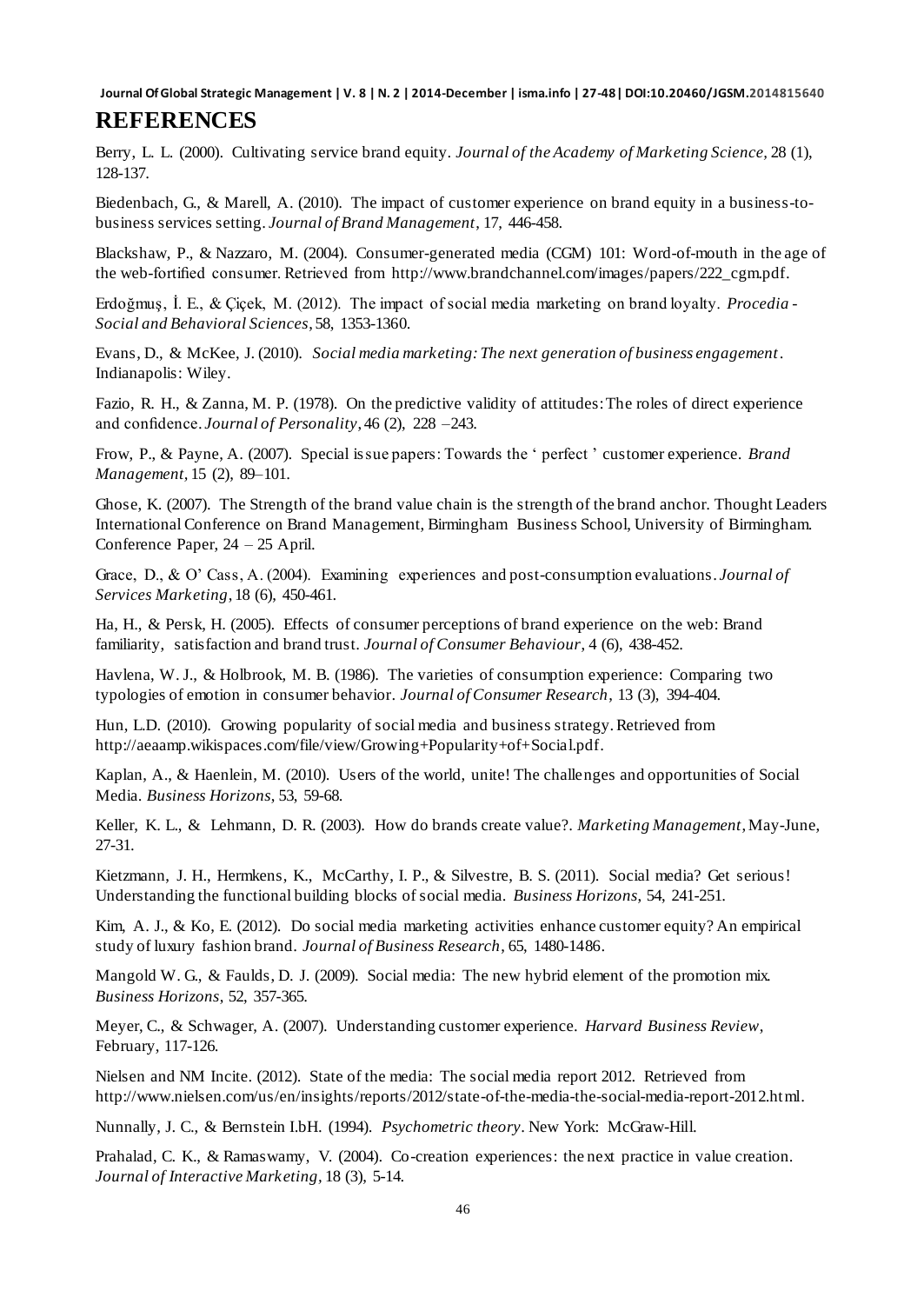#### **Journal Of Global Strategic Management | V. 8 | N. 2 | 2014-December | isma.info | 27-48| DOI:10.20460/JGSM.2014815640 REFERENCES**

Berry, L. L. (2000). Cultivating service brand equity. *Journal of the Academy of Marketing Science,* 28 (1), 128-137.

Biedenbach, G., & Marell, A. (2010). The impact of customer experience on brand equity in a business-tobusiness services setting. *Journal of Brand Management*, 17, 446-458.

Blackshaw, P., & Nazzaro, M. (2004). Consumer-generated media (CGM) 101: Word-of-mouth in the age of the web-fortified consumer. Retrieved from [http://www.brandchannel.com/images/papers/222\\_cgm.pdf.](http://www.brandchannel.com/images/papers/222_cgm.pdf)

Erdoğmuş, İ. E., & Çiçek, M. (2012). The impact of social media marketing on brand loyalty. *Procedia - Social and Behavioral Sciences*, 58, 1353-1360.

Evans, D., & McKee, J. (2010). *Social media marketing: The next generation of business engagement*. Indianapolis: Wiley.

Fazio, R. H., & Zanna, M. P. (1978). On the predictive validity of attitudes: The roles of direct experience and confidence. *Journal of Personality*, 46 (2), 228 –243.

Frow, P., & Payne, A. (2007). Special issue papers: Towards the " perfect " customer experience. *Brand Management,* 15 (2), 89–101.

Ghose, K. (2007). The Strength of the brand value chain is the strength of the brand anchor. Thought Leaders International Conference on Brand Management, Birmingham Business School, University of Birmingham. Conference Paper, 24 – 25 April.

Grace, D., & O" Cass, A. (2004). Examining experiences and post-consumption evaluations. *Journal of Services Marketing*, 18 (6), 450-461.

Ha, H., & Persk, H. (2005). Effects of consumer perceptions of brand experience on the web: Brand familiarity, satisfaction and brand trust. *Journal of Consumer Behaviour*, 4 (6), 438-452.

Havlena, W. J., & Holbrook, M. B. (1986). The varieties of consumption experience: Comparing two typologies of emotion in consumer behavior. *Journal of Consumer Research*, 13 (3), 394-404.

Hun, L.D. (2010). Growing popularity of social media and business strategy. Retrieved from [http://aeaamp.wikispaces.com/file/view/Growing+Popularity+of+Social.pdf.](http://aeaamp.wikispaces.com/file/view/Growing+Popularity+of+Social.pdf)

Kaplan, A., & Haenlein, M. (2010). Users of the world, unite! The challenges and opportunities of Social Media. *Business Horizons*, 53, 59-68.

Keller, K. L., & Lehmann, D. R. (2003). How do brands create value?. *Marketing Management*, May-June, 27-31.

Kietzmann, J. H., Hermkens, K., McCarthy, I. P., & Silvestre, B. S. (2011). Social media? Get serious! Understanding the functional building blocks of social media. *Business Horizons*, 54, 241-251.

Kim, A. J., & Ko, E. (2012). Do social media marketing activities enhance customer equity? An empirical study of luxury fashion brand. *Journal of Business Research*, 65, 1480-1486.

Mangold W. G., & Faulds, D. J. (2009). Social media: The new hybrid element of the promotion mix. *Business Horizons*, 52, 357-365.

Meyer, C., & Schwager, A. (2007). Understanding customer experience. *Harvard Business Review*, February, 117-126.

Nielsen and NM Incite. (2012). State of the media: The social media report 2012. Retrieved from [http://www.nielsen.com/us/en/insights/reports/2012/state-of-the-media-the-social-media-report-2012.html.](http://www.nielsen.com/us/en/insights/reports/2012/state-of-the-media-the-social-media-report-2012.html)

Nunnally, J. C., & Bernstein I.bH. (1994). *Psychometric theory*. New York: McGraw-Hill.

Prahalad, C. K., & Ramaswamy, V. (2004). Co-creation experiences: the next practice in value creation. *Journal of Interactive Marketing,* 18 (3), 5-14.